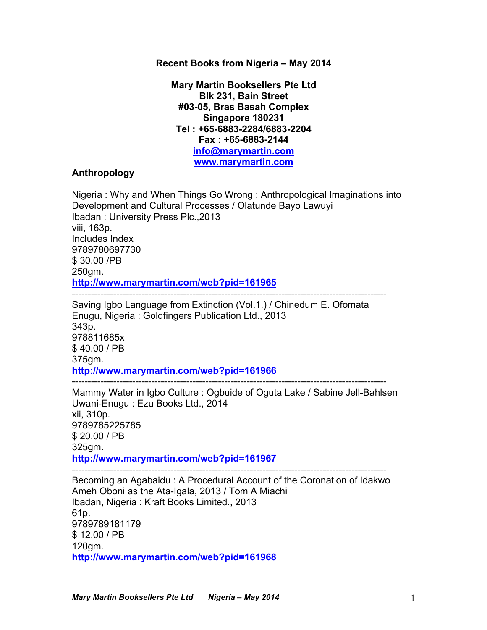### **Recent Books from Nigeria – May 2014**

**Mary Martin Booksellers Pte Ltd Blk 231, Bain Street #03-05, Bras Basah Complex Singapore 180231 Tel : +65-6883-2284/6883-2204 Fax : +65-6883-2144 info@marymartin.com www.marymartin.com**

## **Anthropology**

Nigeria : Why and When Things Go Wrong : Anthropological Imaginations into Development and Cultural Processes / Olatunde Bayo Lawuyi Ibadan : University Press Plc.,2013 viii, 163p. Includes Index 9789780697730 \$ 30.00 /PB 250gm. **http://www.marymartin.com/web?pid=161965** --------------------------------------------------------------------------------------------------- Saving Igbo Language from Extinction (Vol.1.) / Chinedum E. Ofomata Enugu, Nigeria : Goldfingers Publication Ltd., 2013 343p.

978811685x \$ 40.00 / PB 375gm. **http://www.marymartin.com/web?pid=161966**

--------------------------------------------------------------------------------------------------- Mammy Water in Igbo Culture : Ogbuide of Oguta Lake / Sabine Jell-Bahlsen

Uwani-Enugu : Ezu Books Ltd., 2014 xii, 310p. 9789785225785 \$ 20.00 / PB 325gm. **http://www.marymartin.com/web?pid=161967** ---------------------------------------------------------------------------------------------------

Becoming an Agabaidu : A Procedural Account of the Coronation of Idakwo Ameh Oboni as the Ata-Igala, 2013 / Tom A Miachi Ibadan, Nigeria : Kraft Books Limited., 2013 61p. 9789789181179 \$ 12.00 / PB 120gm. **http://www.marymartin.com/web?pid=161968**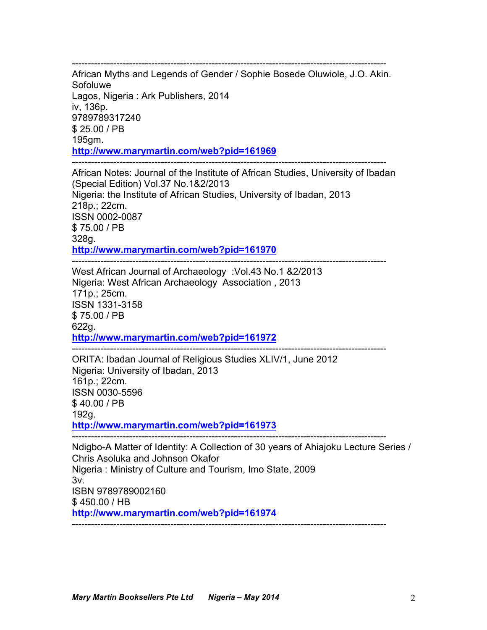--------------------------------------------------------------------------------------------------- African Myths and Legends of Gender / Sophie Bosede Oluwiole, J.O. Akin. Sofoluwe Lagos, Nigeria : Ark Publishers, 2014 iv, 136p. 9789789317240 \$ 25.00 / PB 195gm. **http://www.marymartin.com/web?pid=161969**

--------------------------------------------------------------------------------------------------- African Notes: Journal of the Institute of African Studies, University of Ibadan (Special Edition) Vol.37 No.1&2/2013 Nigeria: the Institute of African Studies, University of Ibadan, 2013 218p.; 22cm. ISSN 0002-0087 \$ 75.00 / PB 328g. **http://www.marymartin.com/web?pid=161970**

--------------------------------------------------------------------------------------------------- West African Journal of Archaeology :Vol.43 No.1 &2/2013 Nigeria: West African Archaeology Association , 2013 171p.; 25cm. ISSN 1331-3158 \$ 75.00 / PB 622g. **http://www.marymartin.com/web?pid=161972** ---------------------------------------------------------------------------------------------------

ORITA: Ibadan Journal of Religious Studies XLIV/1, June 2012 Nigeria: University of Ibadan, 2013 161p.; 22cm. ISSN 0030-5596 \$ 40.00 / PB 192g. **http://www.marymartin.com/web?pid=161973**

---------------------------------------------------------------------------------------------------

Ndigbo-A Matter of Identity: A Collection of 30 years of Ahiajoku Lecture Series / Chris Asoluka and Johnson Okafor Nigeria : Ministry of Culture and Tourism, Imo State, 2009 3v. ISBN 9789789002160 \$ 450.00 / HB **http://www.marymartin.com/web?pid=161974** ---------------------------------------------------------------------------------------------------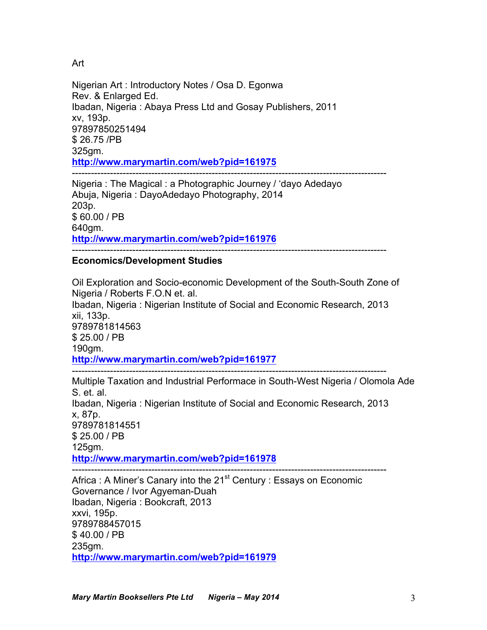Art

Nigerian Art : Introductory Notes / Osa D. Egonwa Rev. & Enlarged Ed. Ibadan, Nigeria : Abaya Press Ltd and Gosay Publishers, 2011 xv, 193p. 97897850251494 \$ 26.75 /PB 325gm. **http://www.marymartin.com/web?pid=161975** ---------------------------------------------------------------------------------------------------

Nigeria : The Magical : a Photographic Journey / 'dayo Adedayo Abuja, Nigeria : DayoAdedayo Photography, 2014 203p. \$ 60.00 / PB 640gm. **http://www.marymartin.com/web?pid=161976** ---------------------------------------------------------------------------------------------------

# **Economics/Development Studies**

Oil Exploration and Socio-economic Development of the South-South Zone of Nigeria / Roberts F.O.N et. al. Ibadan, Nigeria : Nigerian Institute of Social and Economic Research, 2013 xii, 133p. 9789781814563 \$ 25.00 / PB 190gm. **http://www.marymartin.com/web?pid=161977** ---------------------------------------------------------------------------------------------------

Multiple Taxation and Industrial Performace in South-West Nigeria / Olomola Ade S. et. al. Ibadan, Nigeria : Nigerian Institute of Social and Economic Research, 2013 x, 87p. 9789781814551 \$ 25.00 / PB 125gm. **http://www.marymartin.com/web?pid=161978** ---------------------------------------------------------------------------------------------------

Africa : A Miner's Canary into the 21<sup>st</sup> Century : Essays on Economic Governance / Ivor Agyeman-Duah Ibadan, Nigeria : Bookcraft, 2013 xxvi, 195p. 9789788457015 \$ 40.00 / PB 235gm. **http://www.marymartin.com/web?pid=161979**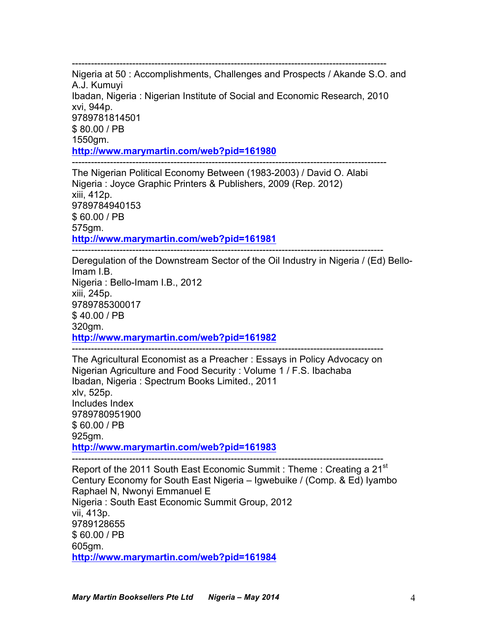--------------------------------------------------------------------------------------------------- Nigeria at 50 : Accomplishments, Challenges and Prospects / Akande S.O. and A.J. Kumuyi Ibadan, Nigeria : Nigerian Institute of Social and Economic Research, 2010 xvi, 944p. 9789781814501 \$ 80.00 / PB 1550gm. **http://www.marymartin.com/web?pid=161980**

--------------------------------------------------------------------------------------------------- The Nigerian Political Economy Between (1983-2003) / David O. Alabi Nigeria : Joyce Graphic Printers & Publishers, 2009 (Rep. 2012) xiii, 412p. 9789784940153 \$ 60.00 / PB 575gm. **http://www.marymartin.com/web?pid=161981**

--------------------------------------------------------------------------------------------------

Deregulation of the Downstream Sector of the Oil Industry in Nigeria / (Ed) Bello-Imam I.B. Nigeria : Bello-Imam I.B., 2012 xiii, 245p. 9789785300017 \$ 40.00 / PB 320gm. **http://www.marymartin.com/web?pid=161982** --------------------------------------------------------------------------------------------------

The Agricultural Economist as a Preacher : Essays in Policy Advocacy on Nigerian Agriculture and Food Security : Volume 1 / F.S. Ibachaba Ibadan, Nigeria : Spectrum Books Limited., 2011 xlv, 525p. Includes Index 9789780951900 \$ 60.00 / PB 925gm. **http://www.marymartin.com/web?pid=161983**

-------------------------------------------------------------------------------------------------- Report of the 2011 South East Economic Summit : Theme : Creating a 21<sup>st</sup> Century Economy for South East Nigeria – Igwebuike / (Comp. & Ed) Iyambo Raphael N, Nwonyi Emmanuel E Nigeria : South East Economic Summit Group, 2012 vii, 413p. 9789128655 \$ 60.00 / PB 605gm. **http://www.marymartin.com/web?pid=161984**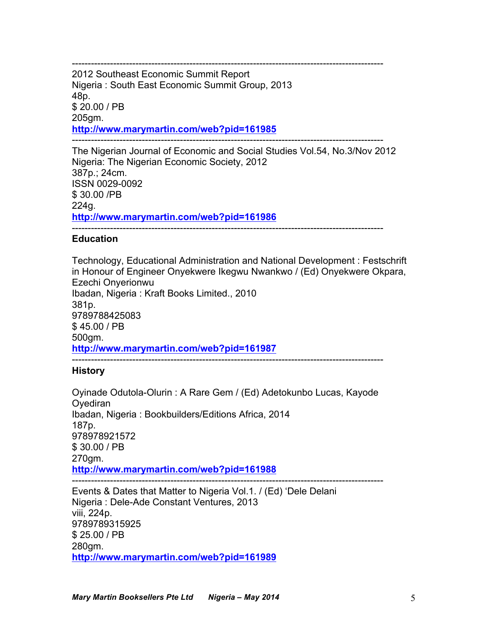-------------------------------------------------------------------------------------------------- 2012 Southeast Economic Summit Report Nigeria : South East Economic Summit Group, 2013 48p. \$ 20.00 / PB 205gm. **http://www.marymartin.com/web?pid=161985** --------------------------------------------------------------------------------------------------

The Nigerian Journal of Economic and Social Studies Vol.54, No.3/Nov 2012 Nigeria: The Nigerian Economic Society, 2012 387p.; 24cm. ISSN 0029-0092 \$ 30.00 /PB 224g. **http://www.marymartin.com/web?pid=161986** --------------------------------------------------------------------------------------------------

# **Education**

Technology, Educational Administration and National Development : Festschrift in Honour of Engineer Onyekwere Ikegwu Nwankwo / (Ed) Onyekwere Okpara, Ezechi Onyerionwu Ibadan, Nigeria : Kraft Books Limited., 2010 381p. 9789788425083 \$ 45.00 / PB 500gm. **http://www.marymartin.com/web?pid=161987** --------------------------------------------------------------------------------------------------

# **History**

Oyinade Odutola-Olurin : A Rare Gem / (Ed) Adetokunbo Lucas, Kayode **Ovediran** Ibadan, Nigeria : Bookbuilders/Editions Africa, 2014 187p. 978978921572 \$ 30.00 / PB 270gm. **http://www.marymartin.com/web?pid=161988** -------------------------------------------------------------------------------------------------- Events & Dates that Matter to Nigeria Vol.1. / (Ed) 'Dele Delani

Nigeria : Dele-Ade Constant Ventures, 2013 viii, 224p. 9789789315925 \$ 25.00 / PB 280gm. **http://www.marymartin.com/web?pid=161989**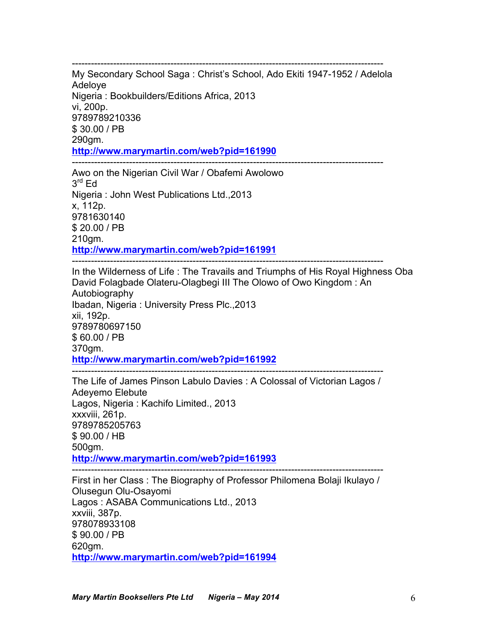-------------------------------------------------------------------------------------------------- My Secondary School Saga : Christ's School, Ado Ekiti 1947-1952 / Adelola Adeloye Nigeria : Bookbuilders/Editions Africa, 2013 vi, 200p. 9789789210336 \$ 30.00 / PB 290gm. **http://www.marymartin.com/web?pid=161990** --------------------------------------------------------------------------------------------------

Awo on the Nigerian Civil War / Obafemi Awolowo  $3^{\text{rd}}$  Ed Nigeria : John West Publications Ltd.,2013 x, 112p. 9781630140 \$ 20.00 / PB 210gm. **http://www.marymartin.com/web?pid=161991**

-------------------------------------------------------------------------------------------------- In the Wilderness of Life : The Travails and Triumphs of His Royal Highness Oba David Folagbade Olateru-Olagbegi III The Olowo of Owo Kingdom : An Autobiography Ibadan, Nigeria : University Press Plc.,2013 xii, 192p. 9789780697150 \$ 60.00 / PB 370gm. **http://www.marymartin.com/web?pid=161992**

-------------------------------------------------------------------------------------------------- The Life of James Pinson Labulo Davies : A Colossal of Victorian Lagos / Adeyemo Elebute Lagos, Nigeria : Kachifo Limited., 2013 xxxviii, 261p. 9789785205763 \$ 90.00 / HB 500gm. **http://www.marymartin.com/web?pid=161993**

-------------------------------------------------------------------------------------------------- First in her Class : The Biography of Professor Philomena Bolaji Ikulayo / Olusegun Olu-Osayomi Lagos : ASABA Communications Ltd., 2013 xxviii, 387p. 978078933108 \$ 90.00 / PB 620gm. **http://www.marymartin.com/web?pid=161994**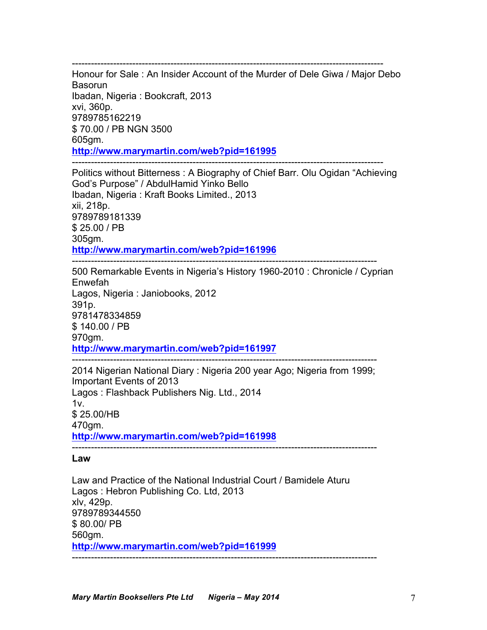-------------------------------------------------------------------------------------------------- Honour for Sale : An Insider Account of the Murder of Dele Giwa / Major Debo Basorun Ibadan, Nigeria : Bookcraft, 2013 xvi, 360p. 9789785162219 \$ 70.00 / PB NGN 3500 605gm.

**http://www.marymartin.com/web?pid=161995**

-------------------------------------------------------------------------------------------------- Politics without Bitterness : A Biography of Chief Barr. Olu Ogidan "Achieving God's Purpose" / AbdulHamid Yinko Bello Ibadan, Nigeria : Kraft Books Limited., 2013 xii, 218p. 9789789181339 \$ 25.00 / PB 305gm. **http://www.marymartin.com/web?pid=161996**

------------------------------------------------------------------------------------------------ 500 Remarkable Events in Nigeria's History 1960-2010 : Chronicle / Cyprian Enwefah Lagos, Nigeria : Janiobooks, 2012 391p. 9781478334859 \$ 140.00 / PB 970gm. **http://www.marymartin.com/web?pid=161997** ------------------------------------------------------------------------------------------------

2014 Nigerian National Diary : Nigeria 200 year Ago; Nigeria from 1999; Important Events of 2013 Lagos : Flashback Publishers Nig. Ltd., 2014  $1v<sub>1</sub>$ \$ 25.00/HB 470gm. **http://www.marymartin.com/web?pid=161998** ------------------------------------------------------------------------------------------------

**Law**

Law and Practice of the National Industrial Court / Bamidele Aturu Lagos : Hebron Publishing Co. Ltd, 2013 xlv, 429p. 9789789344550 \$ 80.00/ PB 560gm. **http://www.marymartin.com/web?pid=161999** ------------------------------------------------------------------------------------------------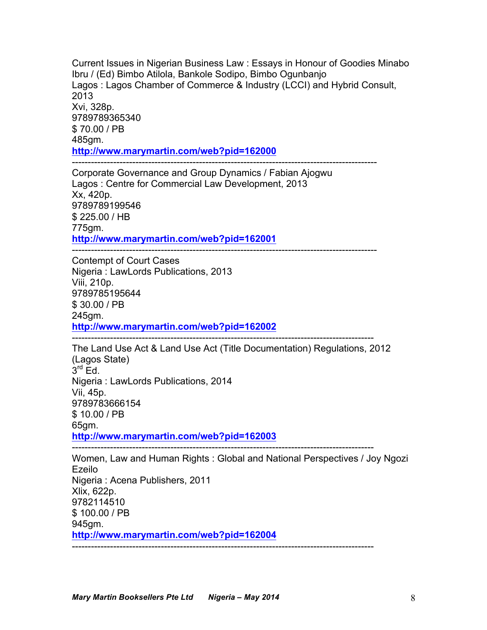Current Issues in Nigerian Business Law : Essays in Honour of Goodies Minabo Ibru / (Ed) Bimbo Atilola, Bankole Sodipo, Bimbo Ogunbanjo Lagos : Lagos Chamber of Commerce & Industry (LCCI) and Hybrid Consult, 2013 Xvi, 328p. 9789789365340 \$ 70.00 / PB 485gm. **http://www.marymartin.com/web?pid=162000** ------------------------------------------------------------------------------------------------

Corporate Governance and Group Dynamics / Fabian Ajogwu Lagos : Centre for Commercial Law Development, 2013 Xx, 420p. 9789789199546 \$ 225.00 / HB 775gm. **http://www.marymartin.com/web?pid=162001**

------------------------------------------------------------------------------------------------

Contempt of Court Cases Nigeria : LawLords Publications, 2013 Viii, 210p. 9789785195644 \$ 30.00 / PB 245gm. **http://www.marymartin.com/web?pid=162002**

The Land Use Act & Land Use Act (Title Documentation) Regulations, 2012 (Lagos State)  $3<sup>rd</sup>$  Ed. Nigeria : LawLords Publications, 2014 Vii, 45p. 9789783666154 \$ 10.00 / PB 65gm. **http://www.marymartin.com/web?pid=162003**

-----------------------------------------------------------------------------------------------

-----------------------------------------------------------------------------------------------

Women, Law and Human Rights : Global and National Perspectives / Joy Ngozi Ezeilo Nigeria : Acena Publishers, 2011 Xlix, 622p. 9782114510 \$ 100.00 / PB 945gm. **http://www.marymartin.com/web?pid=162004** -----------------------------------------------------------------------------------------------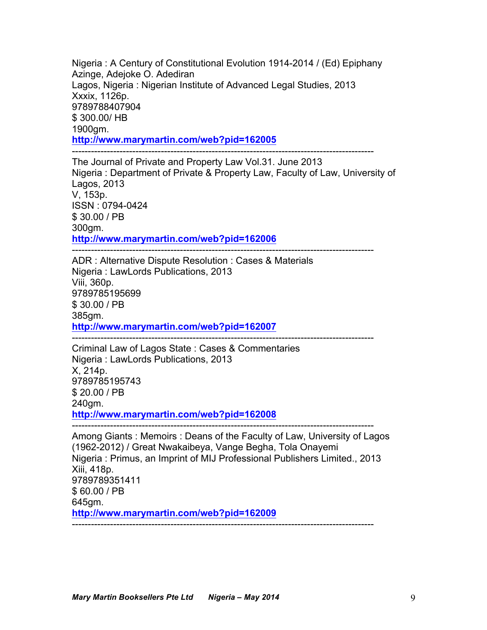Nigeria : A Century of Constitutional Evolution 1914-2014 / (Ed) Epiphany Azinge, Adejoke O. Adediran Lagos, Nigeria : Nigerian Institute of Advanced Legal Studies, 2013 Xxxix, 1126p. 9789788407904 \$ 300.00/ HB 1900gm. **http://www.marymartin.com/web?pid=162005** -----------------------------------------------------------------------------------------------

The Journal of Private and Property Law Vol.31. June 2013 Nigeria : Department of Private & Property Law, Faculty of Law, University of Lagos, 2013 V, 153p. ISSN : 0794-0424 \$ 30.00 / PB 300gm. **http://www.marymartin.com/web?pid=162006**

-----------------------------------------------------------------------------------------------

ADR : Alternative Dispute Resolution : Cases & Materials Nigeria : LawLords Publications, 2013 Viii, 360p. 9789785195699 \$ 30.00 / PB 385gm. **http://www.marymartin.com/web?pid=162007** -----------------------------------------------------------------------------------------------

Criminal Law of Lagos State : Cases & Commentaries Nigeria : LawLords Publications, 2013 X, 214p. 9789785195743 \$ 20.00 / PB 240gm. **http://www.marymartin.com/web?pid=162008**

Among Giants : Memoirs : Deans of the Faculty of Law, University of Lagos (1962-2012) / Great Nwakaibeya, Vange Begha, Tola Onayemi Nigeria : Primus, an Imprint of MIJ Professional Publishers Limited., 2013 Xiii, 418p. 9789789351411 \$ 60.00 / PB 645gm. **http://www.marymartin.com/web?pid=162009** -----------------------------------------------------------------------------------------------

-----------------------------------------------------------------------------------------------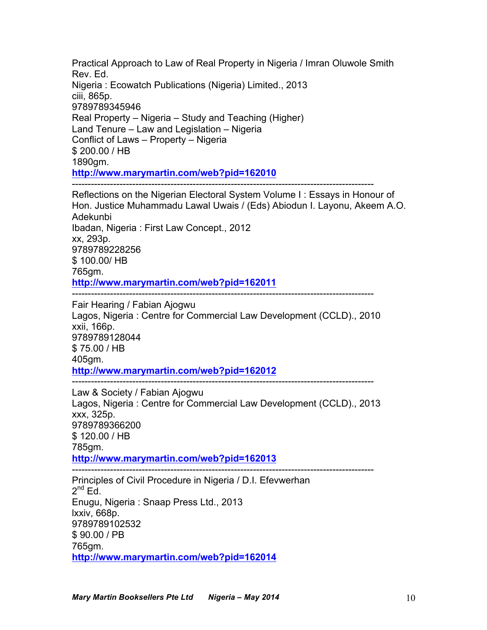Practical Approach to Law of Real Property in Nigeria / Imran Oluwole Smith Rev. Ed. Nigeria : Ecowatch Publications (Nigeria) Limited., 2013 ciii, 865p. 9789789345946 Real Property – Nigeria – Study and Teaching (Higher) Land Tenure – Law and Legislation – Nigeria Conflict of Laws – Property – Nigeria \$ 200.00 / HB 1890gm. **http://www.marymartin.com/web?pid=162010** ----------------------------------------------------------------------------------------------- Reflections on the Nigerian Electoral System Volume I : Essays in Honour of Hon. Justice Muhammadu Lawal Uwais / (Eds) Abiodun I. Layonu, Akeem A.O. Adekunbi Ibadan, Nigeria : First Law Concept., 2012 xx, 293p. 9789789228256 \$ 100.00/ HB

765gm.

**http://www.marymartin.com/web?pid=162011**

-----------------------------------------------------------------------------------------------

Fair Hearing / Fabian Ajogwu Lagos, Nigeria : Centre for Commercial Law Development (CCLD)., 2010 xxii, 166p. 9789789128044 \$ 75.00 / HB 405gm. **http://www.marymartin.com/web?pid=162012**

-----------------------------------------------------------------------------------------------

Law & Society / Fabian Ajogwu Lagos, Nigeria : Centre for Commercial Law Development (CCLD)., 2013 xxx, 325p. 9789789366200 \$ 120.00 / HB 785gm. **http://www.marymartin.com/web?pid=162013** -----------------------------------------------------------------------------------------------

Principles of Civil Procedure in Nigeria / D.I. Efevwerhan  $2^{nd}$  Ed. Enugu, Nigeria : Snaap Press Ltd., 2013 lxxiv, 668p. 9789789102532 \$ 90.00 / PB 765gm. **http://www.marymartin.com/web?pid=162014**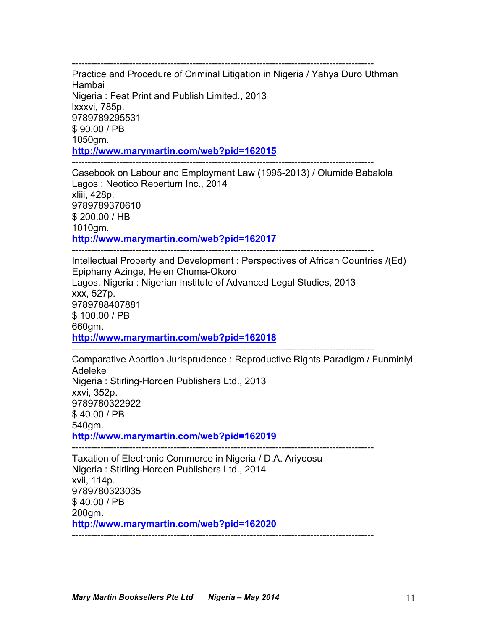----------------------------------------------------------------------------------------------- Practice and Procedure of Criminal Litigation in Nigeria / Yahya Duro Uthman Hambai Nigeria : Feat Print and Publish Limited., 2013 lxxxvi, 785p. 9789789295531 \$ 90.00 / PB 1050gm. **http://www.marymartin.com/web?pid=162015** -----------------------------------------------------------------------------------------------

Casebook on Labour and Employment Law (1995-2013) / Olumide Babalola Lagos : Neotico Repertum Inc., 2014 xliii, 428p. 9789789370610 \$ 200.00 / HB 1010gm. **http://www.marymartin.com/web?pid=162017**

----------------------------------------------------------------------------------------------- Intellectual Property and Development : Perspectives of African Countries /(Ed) Epiphany Azinge, Helen Chuma-Okoro Lagos, Nigeria : Nigerian Institute of Advanced Legal Studies, 2013 xxx, 527p. 9789788407881 \$ 100.00 / PB 660gm. **http://www.marymartin.com/web?pid=162018** -----------------------------------------------------------------------------------------------

Comparative Abortion Jurisprudence : Reproductive Rights Paradigm / Funminiyi Adeleke Nigeria : Stirling-Horden Publishers Ltd., 2013 xxvi, 352p. 9789780322922 \$ 40.00 / PB 540gm.

**http://www.marymartin.com/web?pid=162019**

Taxation of Electronic Commerce in Nigeria / D.A. Ariyoosu Nigeria : Stirling-Horden Publishers Ltd., 2014 xvii, 114p. 9789780323035 \$ 40.00 / PB 200gm. **http://www.marymartin.com/web?pid=162020** -----------------------------------------------------------------------------------------------

-----------------------------------------------------------------------------------------------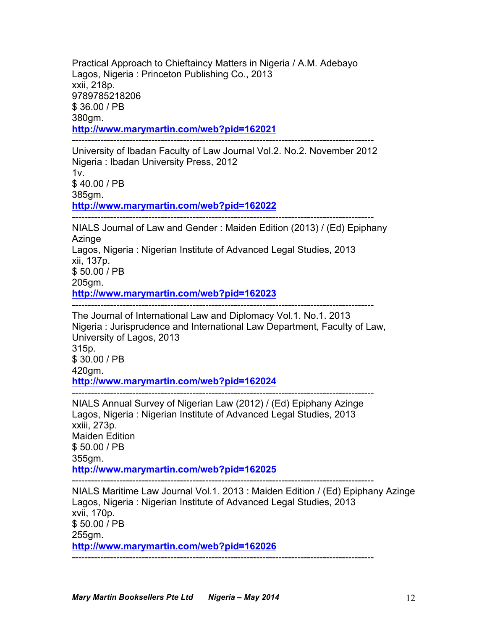Practical Approach to Chieftaincy Matters in Nigeria / A.M. Adebayo Lagos, Nigeria : Princeton Publishing Co., 2013 xxii, 218p. 9789785218206 \$ 36.00 / PB 380gm. **http://www.marymartin.com/web?pid=162021** -----------------------------------------------------------------------------------------------

University of Ibadan Faculty of Law Journal Vol.2. No.2. November 2012 Nigeria : Ibadan University Press, 2012  $1v$ \$ 40.00 / PB 385gm. **http://www.marymartin.com/web?pid=162022** -----------------------------------------------------------------------------------------------

NIALS Journal of Law and Gender : Maiden Edition (2013) / (Ed) Epiphany **Azinge** Lagos, Nigeria : Nigerian Institute of Advanced Legal Studies, 2013 xii, 137p. \$ 50.00 / PB 205gm. **http://www.marymartin.com/web?pid=162023**

-----------------------------------------------------------------------------------------------

The Journal of International Law and Diplomacy Vol.1. No.1. 2013 Nigeria : Jurisprudence and International Law Department, Faculty of Law, University of Lagos, 2013

315p. \$ 30.00 / PB 420gm. **http://www.marymartin.com/web?pid=162024**

----------------------------------------------------------------------------------------------- NIALS Annual Survey of Nigerian Law (2012) / (Ed) Epiphany Azinge Lagos, Nigeria : Nigerian Institute of Advanced Legal Studies, 2013 xxiii, 273p. Maiden Edition \$ 50.00 / PB 355gm. **http://www.marymartin.com/web?pid=162025** -----------------------------------------------------------------------------------------------

NIALS Maritime Law Journal Vol.1. 2013 : Maiden Edition / (Ed) Epiphany Azinge Lagos, Nigeria : Nigerian Institute of Advanced Legal Studies, 2013 xvii, 170p. \$ 50.00 / PB 255gm. **http://www.marymartin.com/web?pid=162026** -----------------------------------------------------------------------------------------------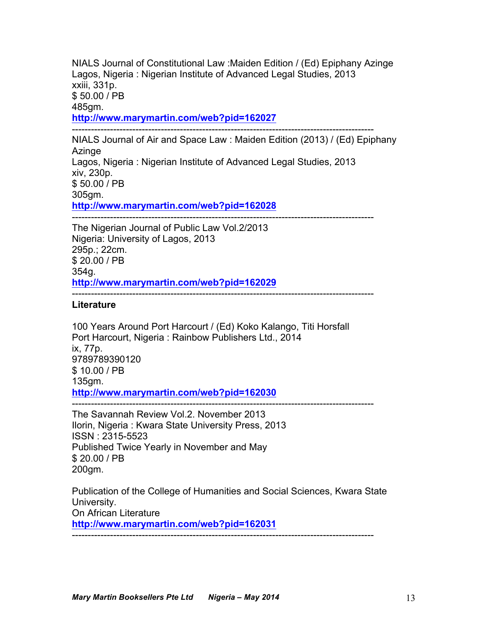NIALS Journal of Constitutional Law :Maiden Edition / (Ed) Epiphany Azinge Lagos, Nigeria : Nigerian Institute of Advanced Legal Studies, 2013 xxiii, 331p. \$ 50.00 / PB 485gm. **http://www.marymartin.com/web?pid=162027** -----------------------------------------------------------------------------------------------

NIALS Journal of Air and Space Law : Maiden Edition (2013) / (Ed) Epiphany Azinge Lagos, Nigeria : Nigerian Institute of Advanced Legal Studies, 2013 xiv, 230p. \$ 50.00 / PB 305gm. **http://www.marymartin.com/web?pid=162028**

----------------------------------------------------------------------------------------------- The Nigerian Journal of Public Law Vol.2/2013 Nigeria: University of Lagos, 2013 295p.; 22cm. \$ 20.00 / PB 354g. **http://www.marymartin.com/web?pid=162029**

## **Literature**

100 Years Around Port Harcourt / (Ed) Koko Kalango, Titi Horsfall Port Harcourt, Nigeria : Rainbow Publishers Ltd., 2014 ix, 77p. 9789789390120 \$ 10.00 / PB 135gm. **http://www.marymartin.com/web?pid=162030** -----------------------------------------------------------------------------------------------

-----------------------------------------------------------------------------------------------

The Savannah Review Vol.2. November 2013 Ilorin, Nigeria : Kwara State University Press, 2013 ISSN : 2315-5523 Published Twice Yearly in November and May \$ 20.00 / PB 200gm.

Publication of the College of Humanities and Social Sciences, Kwara State University. On African Literature **http://www.marymartin.com/web?pid=162031**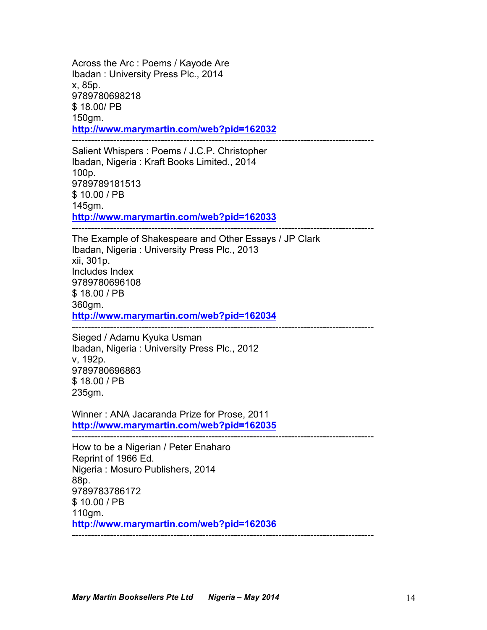Across the Arc : Poems / Kayode Are Ibadan : University Press Plc., 2014 x, 85p. 9789780698218 \$ 18.00/ PB 150gm. **http://www.marymartin.com/web?pid=162032** -----------------------------------------------------------------------------------------------

Salient Whispers : Poems / J.C.P. Christopher Ibadan, Nigeria : Kraft Books Limited., 2014 100p. 9789789181513 \$ 10.00 / PB 145gm. **http://www.marymartin.com/web?pid=162033** -----------------------------------------------------------------------------------------------

The Example of Shakespeare and Other Essays / JP Clark Ibadan, Nigeria : University Press Plc., 2013 xii, 301p. Includes Index 9789780696108 \$ 18.00 / PB 360gm. **http://www.marymartin.com/web?pid=162034**

Sieged / Adamu Kyuka Usman Ibadan, Nigeria : University Press Plc., 2012 v, 192p. 9789780696863 \$ 18.00 / PB 235gm.

Winner : ANA Jacaranda Prize for Prose, 2011 **http://www.marymartin.com/web?pid=162035**

-----------------------------------------------------------------------------------------------

-----------------------------------------------------------------------------------------------

How to be a Nigerian / Peter Enaharo Reprint of 1966 Ed. Nigeria : Mosuro Publishers, 2014 88p. 9789783786172 \$ 10.00 / PB 110gm. **http://www.marymartin.com/web?pid=162036** -----------------------------------------------------------------------------------------------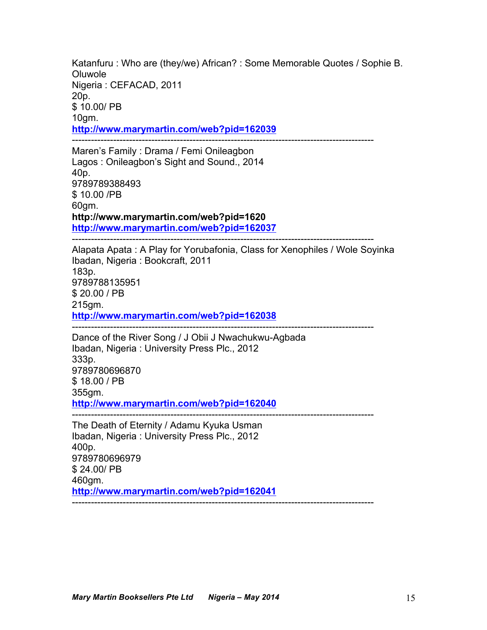Katanfuru : Who are (they/we) African? : Some Memorable Quotes / Sophie B. Oluwole Nigeria : CEFACAD, 2011 20p. \$ 10.00/ PB 10gm. **http://www.marymartin.com/web?pid=162039** -----------------------------------------------------------------------------------------------

Maren's Family : Drama / Femi Onileagbon Lagos : Onileagbon's Sight and Sound., 2014 40p. 9789789388493 \$ 10.00 /PB 60gm. **http://www.marymartin.com/web?pid=1620 http://www.marymartin.com/web?pid=162037** -----------------------------------------------------------------------------------------------

Alapata Apata : A Play for Yorubafonia, Class for Xenophiles / Wole Soyinka Ibadan, Nigeria : Bookcraft, 2011 183p. 9789788135951 \$ 20.00 / PB 215gm. **http://www.marymartin.com/web?pid=162038** -----------------------------------------------------------------------------------------------

Dance of the River Song / J Obii J Nwachukwu-Agbada Ibadan, Nigeria : University Press Plc., 2012 333p. 9789780696870 \$ 18.00 / PB 355gm. **http://www.marymartin.com/web?pid=162040** -----------------------------------------------------------------------------------------------

The Death of Eternity / Adamu Kyuka Usman Ibadan, Nigeria : University Press Plc., 2012 400p. 9789780696979 \$ 24.00/ PB 460gm. **http://www.marymartin.com/web?pid=162041** -----------------------------------------------------------------------------------------------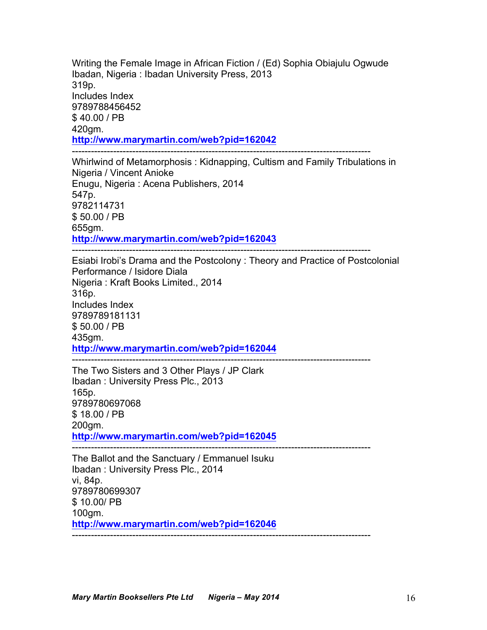Writing the Female Image in African Fiction / (Ed) Sophia Obiajulu Ogwude Ibadan, Nigeria : Ibadan University Press, 2013 319p. Includes Index 9789788456452 \$ 40.00 / PB 420gm. **http://www.marymartin.com/web?pid=162042** ----------------------------------------------------------------------------------------------

Whirlwind of Metamorphosis : Kidnapping, Cultism and Family Tribulations in Nigeria / Vincent Anioke Enugu, Nigeria : Acena Publishers, 2014 547p. 9782114731 \$ 50.00 / PB 655gm. **http://www.marymartin.com/web?pid=162043**

Esiabi Irobi's Drama and the Postcolony : Theory and Practice of Postcolonial Performance / Isidore Diala Nigeria : Kraft Books Limited., 2014 316p. Includes Index 9789789181131 \$ 50.00 / PB 435gm. **http://www.marymartin.com/web?pid=162044**

The Two Sisters and 3 Other Plays / JP Clark Ibadan : University Press Plc., 2013 165p. 9789780697068 \$ 18.00 / PB 200gm. **http://www.marymartin.com/web?pid=162045**

----------------------------------------------------------------------------------------------

----------------------------------------------------------------------------------------------

----------------------------------------------------------------------------------------------

The Ballot and the Sanctuary / Emmanuel Isuku Ibadan : University Press Plc., 2014 vi, 84p. 9789780699307 \$ 10.00/ PB 100gm. **http://www.marymartin.com/web?pid=162046** ----------------------------------------------------------------------------------------------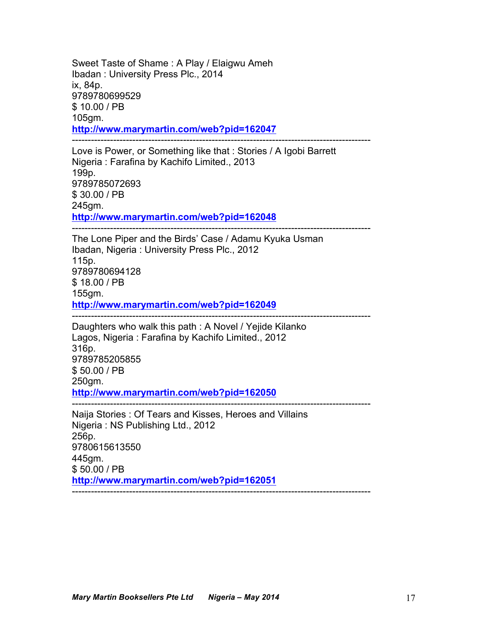Sweet Taste of Shame : A Play / Elaigwu Ameh Ibadan : University Press Plc., 2014 ix, 84p. 9789780699529 \$ 10.00 / PB 105gm. **http://www.marymartin.com/web?pid=162047** ----------------------------------------------------------------------------------------------

Love is Power, or Something like that : Stories / A Igobi Barrett Nigeria : Farafina by Kachifo Limited., 2013 199p. 9789785072693 \$ 30.00 / PB 245gm. **http://www.marymartin.com/web?pid=162048**

----------------------------------------------------------------------------------------------

The Lone Piper and the Birds' Case / Adamu Kyuka Usman Ibadan, Nigeria : University Press Plc., 2012 115p. 9789780694128 \$ 18.00 / PB 155gm. **http://www.marymartin.com/web?pid=162049** ----------------------------------------------------------------------------------------------

Daughters who walk this path : A Novel / Yejide Kilanko Lagos, Nigeria : Farafina by Kachifo Limited., 2012 316p. 9789785205855 \$ 50.00 / PB 250gm. **http://www.marymartin.com/web?pid=162050**

---------------------------------------------------------------------------------------------- Naija Stories : Of Tears and Kisses, Heroes and Villains Nigeria : NS Publishing Ltd., 2012 256p. 9780615613550 445gm. \$ 50.00 / PB **http://www.marymartin.com/web?pid=162051** ----------------------------------------------------------------------------------------------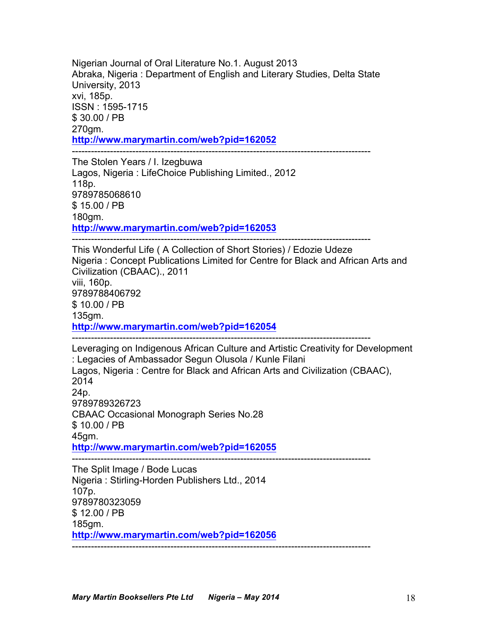Nigerian Journal of Oral Literature No.1. August 2013 Abraka, Nigeria : Department of English and Literary Studies, Delta State University, 2013 xvi, 185p. ISSN : 1595-1715 \$ 30.00 / PB 270gm. **http://www.marymartin.com/web?pid=162052** ----------------------------------------------------------------------------------------------

The Stolen Years / I. Izegbuwa Lagos, Nigeria : LifeChoice Publishing Limited., 2012 118p. 9789785068610 \$ 15.00 / PB 180gm. **http://www.marymartin.com/web?pid=162053**

----------------------------------------------------------------------------------------------

This Wonderful Life ( A Collection of Short Stories) / Edozie Udeze Nigeria : Concept Publications Limited for Centre for Black and African Arts and Civilization (CBAAC)., 2011 viii, 160p. 9789788406792 \$ 10.00 / PB 135gm. **http://www.marymartin.com/web?pid=162054** ----------------------------------------------------------------------------------------------

Leveraging on Indigenous African Culture and Artistic Creativity for Development : Legacies of Ambassador Segun Olusola / Kunle Filani Lagos, Nigeria : Centre for Black and African Arts and Civilization (CBAAC), 2014 24p. 9789789326723 CBAAC Occasional Monograph Series No.28 \$ 10.00 / PB 45gm. **http://www.marymartin.com/web?pid=162055** ----------------------------------------------------------------------------------------------

The Split Image / Bode Lucas Nigeria : Stirling-Horden Publishers Ltd., 2014 107p. 9789780323059 \$ 12.00 / PB 185gm. **http://www.marymartin.com/web?pid=162056** ----------------------------------------------------------------------------------------------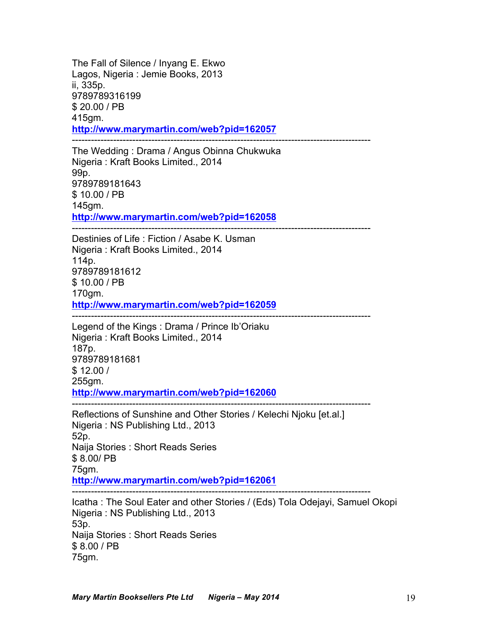The Fall of Silence / Inyang E. Ekwo Lagos, Nigeria : Jemie Books, 2013 ii, 335p. 9789789316199 \$ 20.00 / PB 415gm. **http://www.marymartin.com/web?pid=162057** ----------------------------------------------------------------------------------------------

The Wedding : Drama / Angus Obinna Chukwuka Nigeria : Kraft Books Limited., 2014 99p. 9789789181643 \$ 10.00 / PB 145gm. **http://www.marymartin.com/web?pid=162058** ----------------------------------------------------------------------------------------------

Destinies of Life : Fiction / Asabe K. Usman Nigeria : Kraft Books Limited., 2014 114p. 9789789181612 \$ 10.00 / PB 170gm. **http://www.marymartin.com/web?pid=162059** ----------------------------------------------------------------------------------------------

Legend of the Kings : Drama / Prince Ib'Oriaku Nigeria : Kraft Books Limited., 2014 187p. 9789789181681 \$ 12.00 / 255gm. **http://www.marymartin.com/web?pid=162060**

---------------------------------------------------------------------------------------------- Reflections of Sunshine and Other Stories / Kelechi Njoku [et.al.] Nigeria : NS Publishing Ltd., 2013 52p. Naija Stories : Short Reads Series \$ 8.00/ PB 75gm. **http://www.marymartin.com/web?pid=162061** ----------------------------------------------------------------------------------------------

Icatha : The Soul Eater and other Stories / (Eds) Tola Odejayi, Samuel Okopi Nigeria : NS Publishing Ltd., 2013 53p. Naija Stories : Short Reads Series \$ 8.00 / PB 75gm.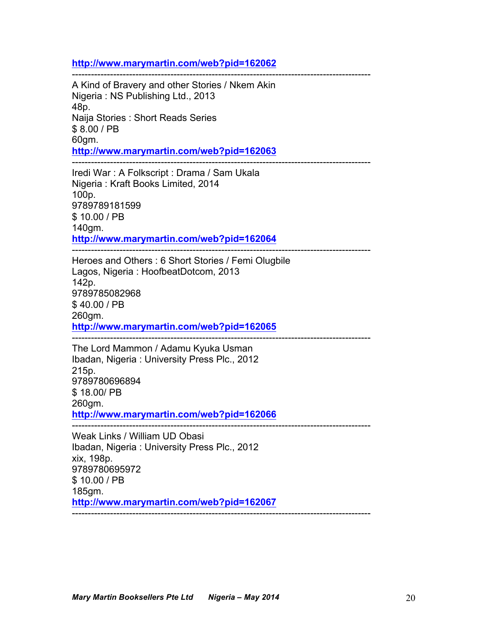#### **http://www.marymartin.com/web?pid=162062**

---------------------------------------------------------------------------------------------- A Kind of Bravery and other Stories / Nkem Akin Nigeria : NS Publishing Ltd., 2013 48p. Naija Stories : Short Reads Series \$ 8.00 / PB 60gm. **http://www.marymartin.com/web?pid=162063**

---------------------------------------------------------------------------------------------- Iredi War : A Folkscript : Drama / Sam Ukala Nigeria : Kraft Books Limited, 2014 100p. 9789789181599 \$ 10.00 / PB 140gm.

**http://www.marymartin.com/web?pid=162064** ----------------------------------------------------------------------------------------------

Heroes and Others : 6 Short Stories / Femi Olugbile Lagos, Nigeria : HoofbeatDotcom, 2013 142p. 9789785082968 \$ 40.00 / PB 260gm. **http://www.marymartin.com/web?pid=162065** ----------------------------------------------------------------------------------------------

The Lord Mammon / Adamu Kyuka Usman Ibadan, Nigeria : University Press Plc., 2012 215p. 9789780696894 \$ 18.00/ PB 260gm. **http://www.marymartin.com/web?pid=162066**

----------------------------------------------------------------------------------------------

Weak Links / William UD Obasi Ibadan, Nigeria : University Press Plc., 2012 xix, 198p. 9789780695972 \$ 10.00 / PB 185gm. **http://www.marymartin.com/web?pid=162067** ----------------------------------------------------------------------------------------------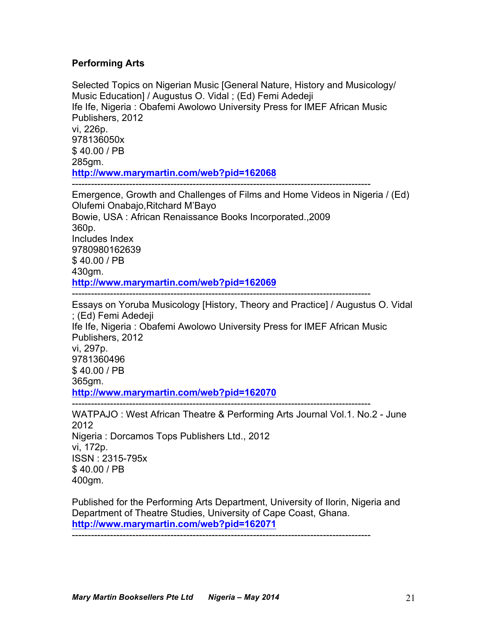## **Performing Arts**

Selected Topics on Nigerian Music [General Nature, History and Musicology/ Music Education] / Augustus O. Vidal ; (Ed) Femi Adedeji Ife Ife, Nigeria : Obafemi Awolowo University Press for IMEF African Music Publishers, 2012 vi, 226p. 978136050x \$ 40.00 / PB 285gm. **http://www.marymartin.com/web?pid=162068** ---------------------------------------------------------------------------------------------- Emergence, Growth and Challenges of Films and Home Videos in Nigeria / (Ed) Olufemi Onabajo,Ritchard M'Bayo Bowie, USA : African Renaissance Books Incorporated.,2009 360p. Includes Index 9780980162639 \$ 40.00 / PB 430gm. **http://www.marymartin.com/web?pid=162069** ---------------------------------------------------------------------------------------------- Essays on Yoruba Musicology [History, Theory and Practice] / Augustus O. Vidal ; (Ed) Femi Adedeji Ife Ife, Nigeria : Obafemi Awolowo University Press for IMEF African Music

Publishers, 2012 vi, 297p. 9781360496 \$ 40.00 / PB 365gm. **http://www.marymartin.com/web?pid=162070** ----------------------------------------------------------------------------------------------

WATPAJO : West African Theatre & Performing Arts Journal Vol.1. No.2 - June 2012 Nigeria : Dorcamos Tops Publishers Ltd., 2012 vi, 172p. ISSN : 2315-795x \$ 40.00 / PB 400gm.

Published for the Performing Arts Department, University of Ilorin, Nigeria and Department of Theatre Studies, University of Cape Coast, Ghana. **http://www.marymartin.com/web?pid=162071** ----------------------------------------------------------------------------------------------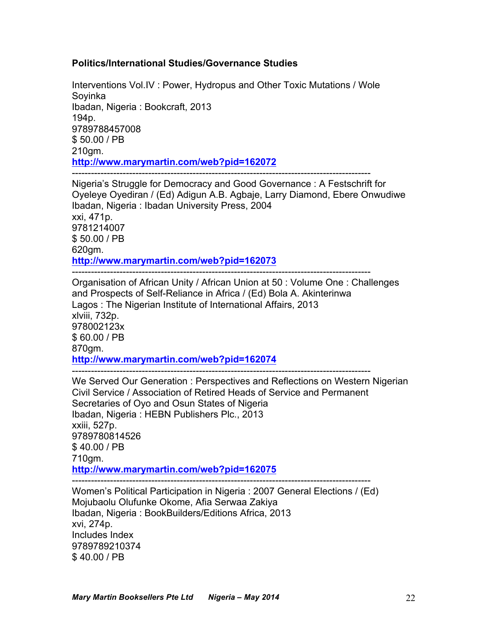## **Politics/International Studies/Governance Studies**

Interventions Vol.IV : Power, Hydropus and Other Toxic Mutations / Wole Soyinka Ibadan, Nigeria : Bookcraft, 2013 194p. 9789788457008 \$ 50.00 / PB 210gm. **http://www.marymartin.com/web?pid=162072** ----------------------------------------------------------------------------------------------

Nigeria's Struggle for Democracy and Good Governance : A Festschrift for Oyeleye Oyediran / (Ed) Adigun A.B. Agbaje, Larry Diamond, Ebere Onwudiwe Ibadan, Nigeria : Ibadan University Press, 2004 xxi, 471p. 9781214007 \$ 50.00 / PB 620gm. **http://www.marymartin.com/web?pid=162073** ----------------------------------------------------------------------------------------------

Organisation of African Unity / African Union at 50 : Volume One : Challenges and Prospects of Self-Reliance in Africa / (Ed) Bola A. Akinterinwa Lagos : The Nigerian Institute of International Affairs, 2013 xlviii, 732p. 978002123x \$ 60.00 / PB 870gm. **http://www.marymartin.com/web?pid=162074** ----------------------------------------------------------------------------------------------

We Served Our Generation : Perspectives and Reflections on Western Nigerian Civil Service / Association of Retired Heads of Service and Permanent Secretaries of Oyo and Osun States of Nigeria Ibadan, Nigeria : HEBN Publishers Plc., 2013 xxiii, 527p. 9789780814526 \$ 40.00 / PB 710gm. **http://www.marymartin.com/web?pid=162075** ---------------------------------------------------------------------------------------------- Women's Political Participation in Nigeria : 2007 General Elections / (Ed) Mojubaolu Olufunke Okome, Afia Serwaa Zakiya

Ibadan, Nigeria : BookBuilders/Editions Africa, 2013 xvi, 274p. Includes Index 9789789210374 \$ 40.00 / PB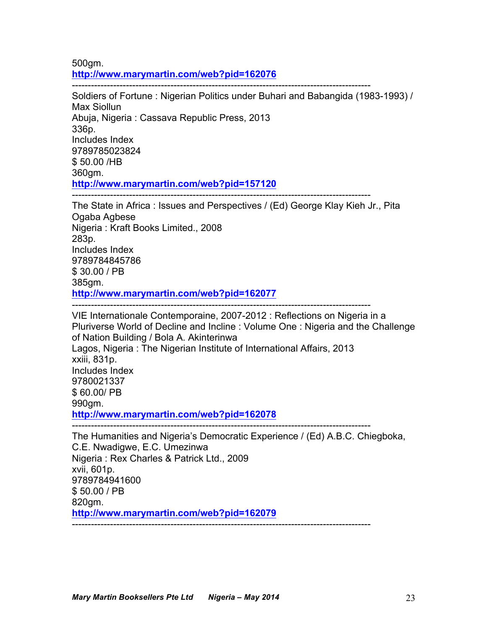500gm. **http://www.marymartin.com/web?pid=162076**

---------------------------------------------------------------------------------------------- Soldiers of Fortune : Nigerian Politics under Buhari and Babangida (1983-1993) / Max Siollun Abuja, Nigeria : Cassava Republic Press, 2013 336p. Includes Index 9789785023824 \$ 50.00 /HB 360gm. **http://www.marymartin.com/web?pid=157120**

---------------------------------------------------------------------------------------------- The State in Africa : Issues and Perspectives / (Ed) George Klay Kieh Jr., Pita Ogaba Agbese Nigeria : Kraft Books Limited., 2008 283p. Includes Index 9789784845786 \$ 30.00 / PB 385gm. **http://www.marymartin.com/web?pid=162077**

----------------------------------------------------------------------------------------------

VIE Internationale Contemporaine, 2007-2012 : Reflections on Nigeria in a Pluriverse World of Decline and Incline : Volume One : Nigeria and the Challenge of Nation Building / Bola A. Akinterinwa Lagos, Nigeria : The Nigerian Institute of International Affairs, 2013 xxiii, 831p. Includes Index 9780021337 \$ 60.00/ PB 990gm. **http://www.marymartin.com/web?pid=162078** ----------------------------------------------------------------------------------------------

The Humanities and Nigeria's Democratic Experience / (Ed) A.B.C. Chiegboka, C.E. Nwadigwe, E.C. Umezinwa Nigeria : Rex Charles & Patrick Ltd., 2009 xvii, 601p. 9789784941600 \$ 50.00 / PB 820gm. **http://www.marymartin.com/web?pid=162079** ----------------------------------------------------------------------------------------------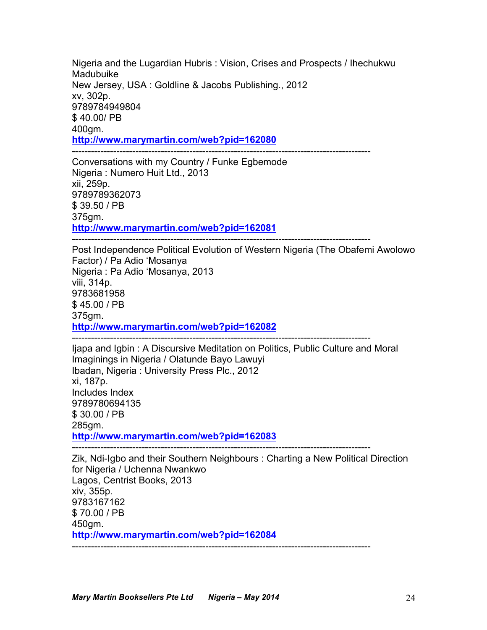Nigeria and the Lugardian Hubris : Vision, Crises and Prospects / Ihechukwu Madubuike New Jersey, USA : Goldline & Jacobs Publishing., 2012 xv, 302p. 9789784949804 \$ 40.00/ PB 400gm. **http://www.marymartin.com/web?pid=162080** ----------------------------------------------------------------------------------------------

Conversations with my Country / Funke Egbemode Nigeria : Numero Huit Ltd., 2013 xii, 259p. 9789789362073 \$ 39.50 / PB 375gm. **http://www.marymartin.com/web?pid=162081**

Post Independence Political Evolution of Western Nigeria (The Obafemi Awolowo Factor) / Pa Adio 'Mosanya Nigeria : Pa Adio 'Mosanya, 2013 viii, 314p. 9783681958 \$ 45.00 / PB 375gm. **http://www.marymartin.com/web?pid=162082** ----------------------------------------------------------------------------------------------

Ijapa and Igbin : A Discursive Meditation on Politics, Public Culture and Moral Imaginings in Nigeria / Olatunde Bayo Lawuyi Ibadan, Nigeria : University Press Plc., 2012 xi, 187p. Includes Index 9789780694135 \$ 30.00 / PB 285gm. **http://www.marymartin.com/web?pid=162083**

----------------------------------------------------------------------------------------------

Zik, Ndi-Igbo and their Southern Neighbours : Charting a New Political Direction for Nigeria / Uchenna Nwankwo Lagos, Centrist Books, 2013 xiv, 355p. 9783167162 \$ 70.00 / PB 450gm. **http://www.marymartin.com/web?pid=162084** ----------------------------------------------------------------------------------------------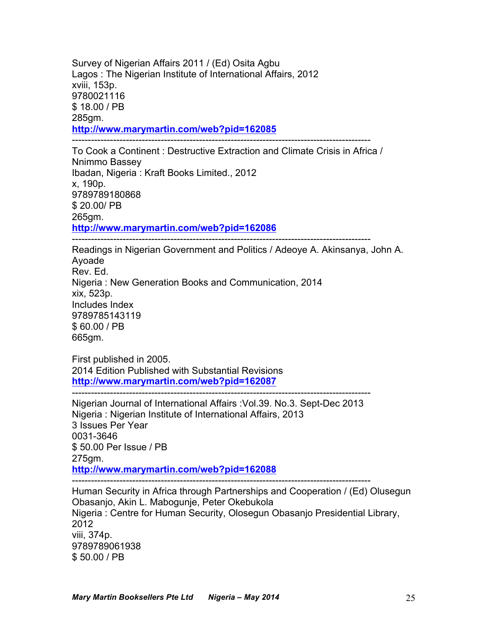Survey of Nigerian Affairs 2011 / (Ed) Osita Agbu Lagos : The Nigerian Institute of International Affairs, 2012 xviii, 153p. 9780021116 \$ 18.00 / PB 285gm. **http://www.marymartin.com/web?pid=162085** ----------------------------------------------------------------------------------------------

To Cook a Continent : Destructive Extraction and Climate Crisis in Africa / Nnimmo Bassey Ibadan, Nigeria : Kraft Books Limited., 2012 x, 190p. 9789789180868 \$ 20.00/ PB 265gm. **http://www.marymartin.com/web?pid=162086**

----------------------------------------------------------------------------------------------

Readings in Nigerian Government and Politics / Adeoye A. Akinsanya, John A. Ayoade Rev. Ed. Nigeria : New Generation Books and Communication, 2014 xix, 523p. Includes Index 9789785143119 \$ 60.00 / PB 665gm.

First published in 2005. 2014 Edition Published with Substantial Revisions **http://www.marymartin.com/web?pid=162087**

Nigerian Journal of International Affairs :Vol.39. No.3. Sept-Dec 2013 Nigeria : Nigerian Institute of International Affairs, 2013 3 Issues Per Year 0031-3646 \$ 50.00 Per Issue / PB 275gm. **http://www.marymartin.com/web?pid=162088** ----------------------------------------------------------------------------------------------

----------------------------------------------------------------------------------------------

Human Security in Africa through Partnerships and Cooperation / (Ed) Olusegun Obasanjo, Akin L. Mabogunje, Peter Okebukola Nigeria : Centre for Human Security, Olosegun Obasanjo Presidential Library, 2012 viii, 374p. 9789789061938 \$ 50.00 / PB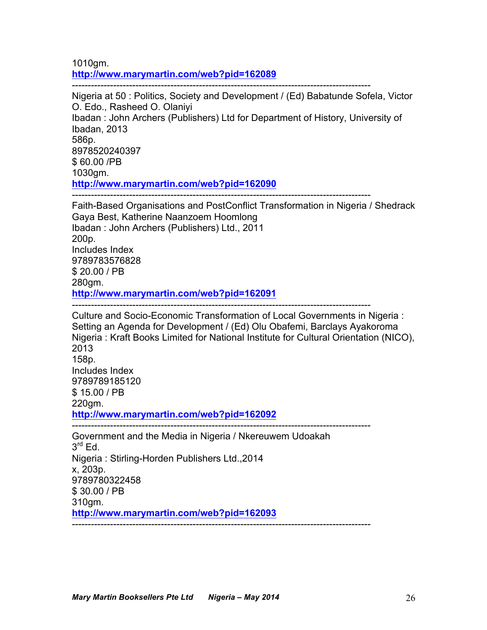1010gm. **http://www.marymartin.com/web?pid=162089**

---------------------------------------------------------------------------------------------- Nigeria at 50 : Politics, Society and Development / (Ed) Babatunde Sofela, Victor O. Edo., Rasheed O. Olaniyi Ibadan : John Archers (Publishers) Ltd for Department of History, University of Ibadan, 2013 586p. 8978520240397 \$ 60.00 /PB 1030gm. **http://www.marymartin.com/web?pid=162090** ----------------------------------------------------------------------------------------------

Faith-Based Organisations and PostConflict Transformation in Nigeria / Shedrack Gaya Best, Katherine Naanzoem Hoomlong Ibadan : John Archers (Publishers) Ltd., 2011 200p. Includes Index 9789783576828 \$ 20.00 / PB 280gm. **http://www.marymartin.com/web?pid=162091** ----------------------------------------------------------------------------------------------

Culture and Socio-Economic Transformation of Local Governments in Nigeria : Setting an Agenda for Development / (Ed) Olu Obafemi, Barclays Ayakoroma Nigeria : Kraft Books Limited for National Institute for Cultural Orientation (NICO), 2013 158p. Includes Index 9789789185120 \$ 15.00 / PB 220gm. **http://www.marymartin.com/web?pid=162092** ---------------------------------------------------------------------------------------------- Government and the Media in Nigeria / Nkereuwem Udoakah  $3^{\text{rd}}$  Ed.

Nigeria : Stirling-Horden Publishers Ltd.,2014 x, 203p. 9789780322458 \$ 30.00 / PB 310gm. **http://www.marymartin.com/web?pid=162093** ----------------------------------------------------------------------------------------------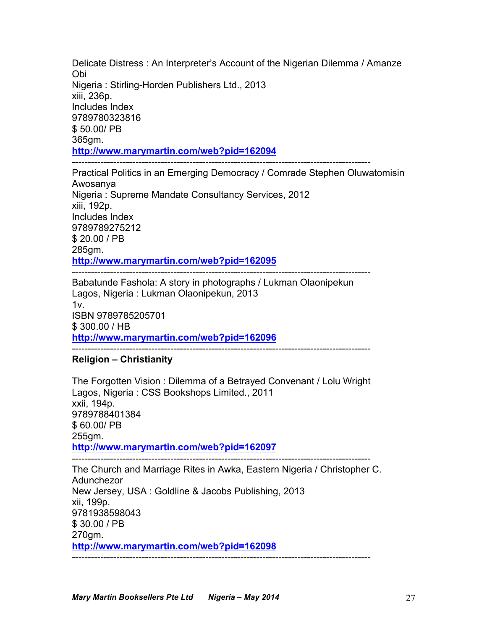Delicate Distress : An Interpreter's Account of the Nigerian Dilemma / Amanze Obi Nigeria : Stirling-Horden Publishers Ltd., 2013 xiii, 236p. Includes Index 9789780323816 \$ 50.00/ PB 365gm. **http://www.marymartin.com/web?pid=162094**

----------------------------------------------------------------------------------------------

Practical Politics in an Emerging Democracy / Comrade Stephen Oluwatomisin Awosanya Nigeria : Supreme Mandate Consultancy Services, 2012 xiii, 192p. Includes Index 9789789275212 \$ 20.00 / PB 285gm. **http://www.marymartin.com/web?pid=162095**

---------------------------------------------------------------------------------------------- Babatunde Fashola: A story in photographs / Lukman Olaonipekun Lagos, Nigeria : Lukman Olaonipekun, 2013  $1v<sub>1</sub>$ ISBN 9789785205701 \$ 300.00 / HB **http://www.marymartin.com/web?pid=162096** ----------------------------------------------------------------------------------------------

# **Religion – Christianity**

The Forgotten Vision : Dilemma of a Betrayed Convenant / Lolu Wright Lagos, Nigeria : CSS Bookshops Limited., 2011 xxii, 194p. 9789788401384 \$ 60.00/ PB 255gm. **http://www.marymartin.com/web?pid=162097** ----------------------------------------------------------------------------------------------

The Church and Marriage Rites in Awka, Eastern Nigeria / Christopher C. Adunchezor New Jersey, USA : Goldline & Jacobs Publishing, 2013 xii, 199p. 9781938598043 \$ 30.00 / PB 270gm. **http://www.marymartin.com/web?pid=162098** ----------------------------------------------------------------------------------------------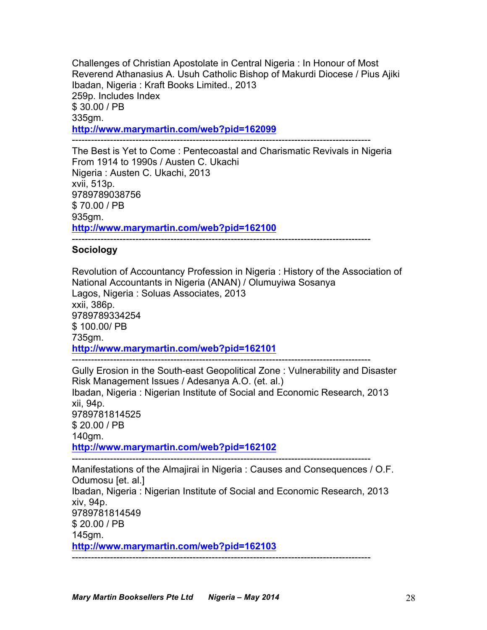Challenges of Christian Apostolate in Central Nigeria : In Honour of Most Reverend Athanasius A. Usuh Catholic Bishop of Makurdi Diocese / Pius Ajiki Ibadan, Nigeria : Kraft Books Limited., 2013 259p. Includes Index \$ 30.00 / PB 335gm. **http://www.marymartin.com/web?pid=162099** ----------------------------------------------------------------------------------------------

The Best is Yet to Come : Pentecoastal and Charismatic Revivals in Nigeria From 1914 to 1990s / Austen C. Ukachi Nigeria : Austen C. Ukachi, 2013 xvii, 513p. 9789789038756 \$ 70.00 / PB 935gm. **http://www.marymartin.com/web?pid=162100**

# ----------------------------------------------------------------------------------------------

## **Sociology**

Revolution of Accountancy Profession in Nigeria : History of the Association of National Accountants in Nigeria (ANAN) / Olumuyiwa Sosanya Lagos, Nigeria : Soluas Associates, 2013 xxii, 386p. 9789789334254 \$ 100.00/ PB 735gm. **http://www.marymartin.com/web?pid=162101** ----------------------------------------------------------------------------------------------

Gully Erosion in the South-east Geopolitical Zone : Vulnerability and Disaster Risk Management Issues / Adesanya A.O. (et. al.) Ibadan, Nigeria : Nigerian Institute of Social and Economic Research, 2013 xii, 94p. 9789781814525 \$ 20.00 / PB 140gm. **http://www.marymartin.com/web?pid=162102** ---------------------------------------------------------------------------------------------- Manifestations of the Almajirai in Nigeria : Causes and Consequences / O.F. Odumosu [et. al.] Ibadan, Nigeria : Nigerian Institute of Social and Economic Research, 2013

xiv, 94p. 9789781814549 \$ 20.00 / PB 145gm.

**http://www.marymartin.com/web?pid=162103**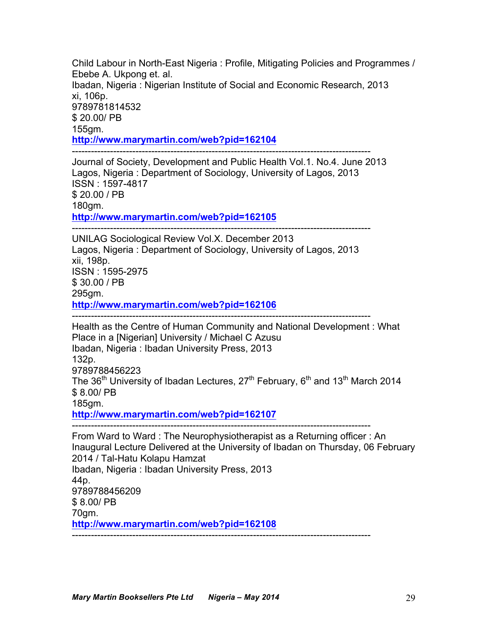Child Labour in North-East Nigeria : Profile, Mitigating Policies and Programmes / Ebebe A. Ukpong et. al. Ibadan, Nigeria : Nigerian Institute of Social and Economic Research, 2013 xi, 106p. 9789781814532 \$ 20.00/ PB 155gm. **http://www.marymartin.com/web?pid=162104** ----------------------------------------------------------------------------------------------

Journal of Society, Development and Public Health Vol.1. No.4. June 2013 Lagos, Nigeria : Department of Sociology, University of Lagos, 2013 ISSN : 1597-4817 \$ 20.00 / PB 180gm. **http://www.marymartin.com/web?pid=162105**

----------------------------------------------------------------------------------------------

UNILAG Sociological Review Vol.X. December 2013 Lagos, Nigeria : Department of Sociology, University of Lagos, 2013 xii, 198p. ISSN : 1595-2975 \$ 30.00 / PB 295gm. **http://www.marymartin.com/web?pid=162106**

----------------------------------------------------------------------------------------------

Health as the Centre of Human Community and National Development : What Place in a [Nigerian] University / Michael C Azusu Ibadan, Nigeria : Ibadan University Press, 2013 132p. 9789788456223 The  $36<sup>th</sup>$  University of Ibadan Lectures,  $27<sup>th</sup>$  February,  $6<sup>th</sup>$  and  $13<sup>th</sup>$  March 2014 \$ 8.00/ PB 185gm.

**http://www.marymartin.com/web?pid=162107**

----------------------------------------------------------------------------------------------

From Ward to Ward : The Neurophysiotherapist as a Returning officer : An Inaugural Lecture Delivered at the University of Ibadan on Thursday, 06 February 2014 / Tal-Hatu Kolapu Hamzat Ibadan, Nigeria : Ibadan University Press, 2013 44p. 9789788456209 \$ 8.00/ PB 70gm. **http://www.marymartin.com/web?pid=162108** ----------------------------------------------------------------------------------------------